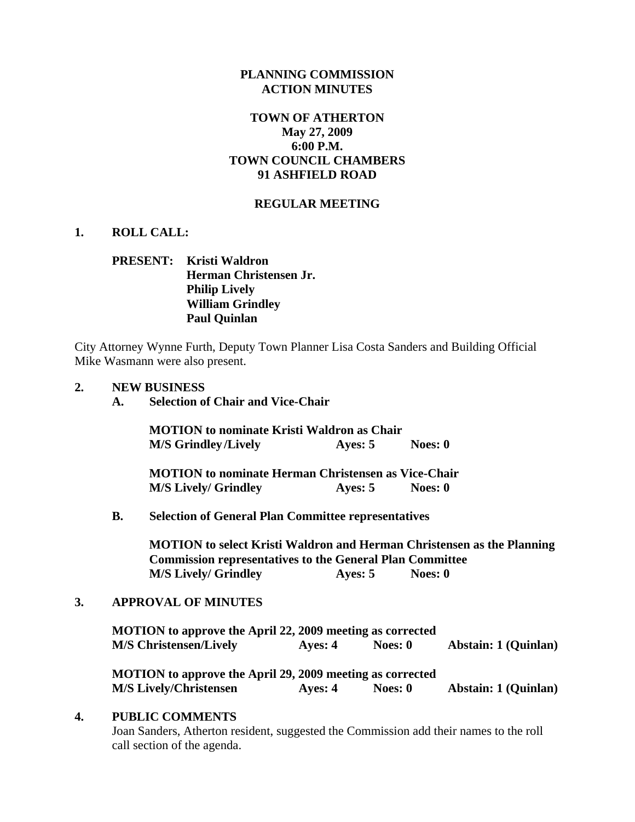## **PLANNING COMMISSION ACTION MINUTES**

## **TOWN OF ATHERTON May 27, 2009 6:00 P.M. TOWN COUNCIL CHAMBERS 91 ASHFIELD ROAD**

#### **REGULAR MEETING**

#### **1. ROLL CALL:**

# **PRESENT: Kristi Waldron Herman Christensen Jr. Philip Lively William Grindley Paul Quinlan**

City Attorney Wynne Furth, Deputy Town Planner Lisa Costa Sanders and Building Official Mike Wasmann were also present.

#### **2. NEW BUSINESS**

**MOTION to nominate Kristi Waldron as Chair M/S Grindley/Lively Ayes: 5** Noes: 0

**MOTION to nominate Herman Christensen as Vice-Chair M/S Lively/ Grindley Ayes: 5 Noes: 0** 

 **B. Selection of General Plan Committee representatives** 

**MOTION to select Kristi Waldron and Herman Christensen as the Planning Commission representatives to the General Plan Committee M/S Lively/ Grindley Ayes: 5 Noes: 0** 

## **3. APPROVAL OF MINUTES**

**MOTION to approve the April 22, 2009 meeting as corrected M/S Christensen/Lively Ayes: 4 Noes: 0 Abstain: 1 (Quinlan)** 

**MOTION to approve the April 29, 2009 meeting as corrected M/S Lively/Christensen Ayes: 4** Noes: 0 **Abstain: 1 (Quinlan)** 

#### **4. PUBLIC COMMENTS**

Joan Sanders, Atherton resident, suggested the Commission add their names to the roll call section of the agenda.

**A. Selection of Chair and Vice-Chair**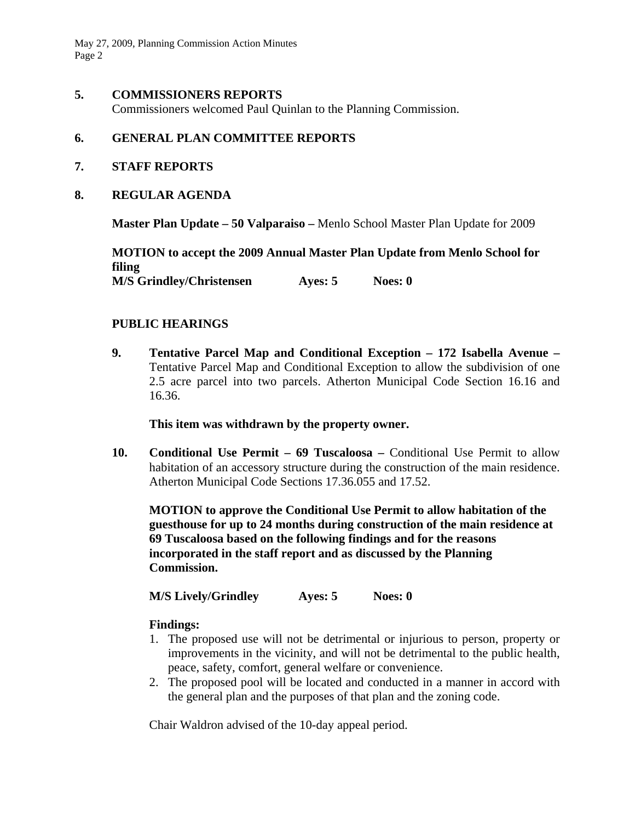May 27, 2009, Planning Commission Action Minutes Page 2

## **5. COMMISSIONERS REPORTS**

Commissioners welcomed Paul Quinlan to the Planning Commission.

## **6. GENERAL PLAN COMMITTEE REPORTS**

- **7. STAFF REPORTS**
- **8. REGULAR AGENDA**

**Master Plan Update – 50 Valparaiso –** Menlo School Master Plan Update for 2009

**MOTION to accept the 2009 Annual Master Plan Update from Menlo School for filing M/S Grindley/Christensen Ayes: 5 Noes: 0** 

## **PUBLIC HEARINGS**

**9. Tentative Parcel Map and Conditional Exception – 172 Isabella Avenue –**  Tentative Parcel Map and Conditional Exception to allow the subdivision of one 2.5 acre parcel into two parcels. Atherton Municipal Code Section 16.16 and 16.36.

#### **This item was withdrawn by the property owner.**

**10. Conditional Use Permit – 69 Tuscaloosa –** Conditional Use Permit to allow habitation of an accessory structure during the construction of the main residence. Atherton Municipal Code Sections 17.36.055 and 17.52.

**MOTION to approve the Conditional Use Permit to allow habitation of the guesthouse for up to 24 months during construction of the main residence at 69 Tuscaloosa based on the following findings and for the reasons incorporated in the staff report and as discussed by the Planning Commission.** 

 **M/S Lively/Grindley Ayes: 5 Noes: 0** 

## **Findings:**

- 1. The proposed use will not be detrimental or injurious to person, property or improvements in the vicinity, and will not be detrimental to the public health, peace, safety, comfort, general welfare or convenience.
- 2. The proposed pool will be located and conducted in a manner in accord with the general plan and the purposes of that plan and the zoning code.

Chair Waldron advised of the 10-day appeal period.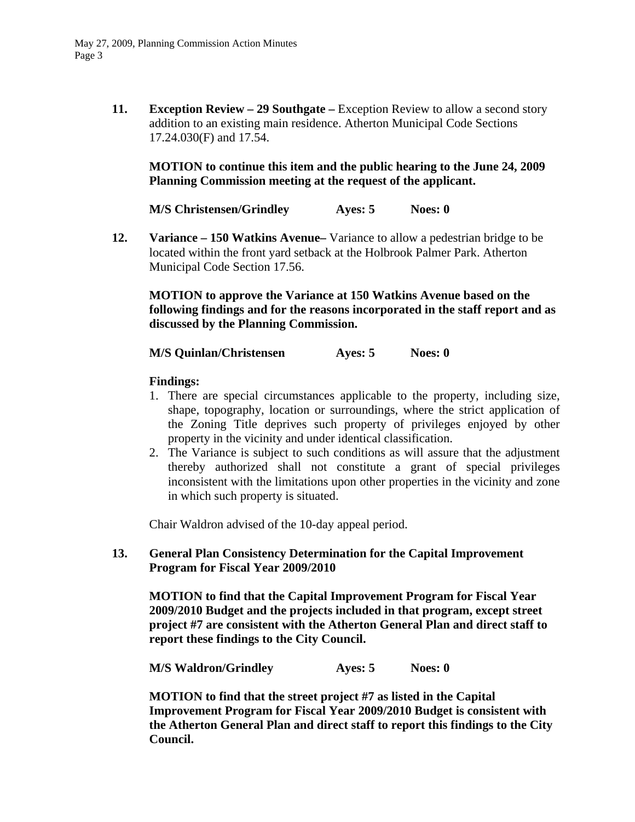**11. Exception Review – 29 Southgate –** Exception Review to allow a second story addition to an existing main residence. Atherton Municipal Code Sections 17.24.030(F) and 17.54.

## **MOTION to continue this item and the public hearing to the June 24, 2009 Planning Commission meeting at the request of the applicant.**

 **M/S Christensen/Grindley Ayes: 5 Noes: 0** 

**12. Variance – 150 Watkins Avenue–** Variance to allow a pedestrian bridge to be located within the front yard setback at the Holbrook Palmer Park. Atherton Municipal Code Section 17.56.

**MOTION to approve the Variance at 150 Watkins Avenue based on the following findings and for the reasons incorporated in the staff report and as discussed by the Planning Commission.** 

**M/S Quinlan/Christensen Ayes: 5** Noes: 0

## **Findings:**

- 1. There are special circumstances applicable to the property, including size, shape, topography, location or surroundings, where the strict application of the Zoning Title deprives such property of privileges enjoyed by other property in the vicinity and under identical classification.
- 2. The Variance is subject to such conditions as will assure that the adjustment thereby authorized shall not constitute a grant of special privileges inconsistent with the limitations upon other properties in the vicinity and zone in which such property is situated.

Chair Waldron advised of the 10-day appeal period.

## **13. General Plan Consistency Determination for the Capital Improvement Program for Fiscal Year 2009/2010**

**MOTION to find that the Capital Improvement Program for Fiscal Year 2009/2010 Budget and the projects included in that program, except street project #7 are consistent with the Atherton General Plan and direct staff to report these findings to the City Council.** 

 **M/S Waldron/Grindley Ayes: 5 Noes: 0** 

**MOTION to find that the street project #7 as listed in the Capital Improvement Program for Fiscal Year 2009/2010 Budget is consistent with the Atherton General Plan and direct staff to report this findings to the City Council.**